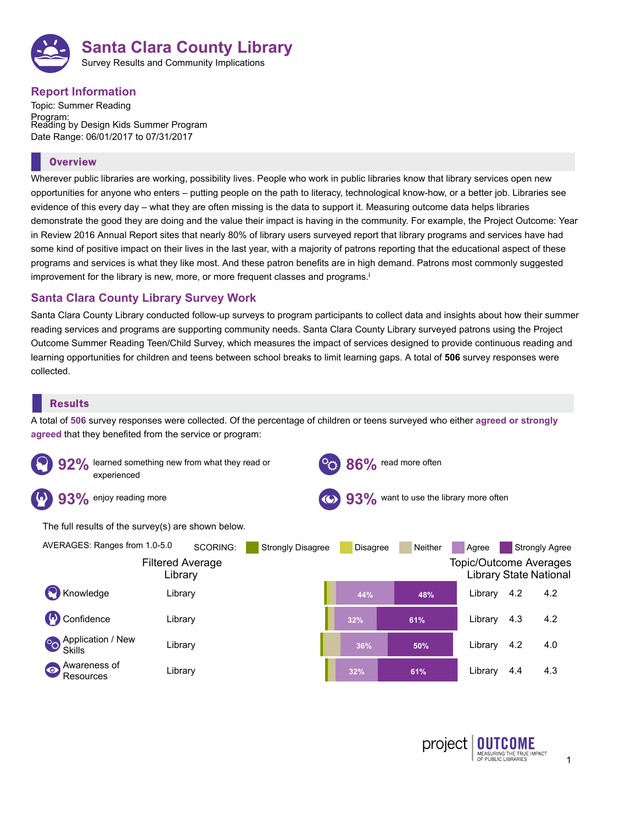

# **Report Information**

Topic: Summer Reading Program: Reading by Design Kids Summer Program Date Range: 06/01/2017 to 07/31/2017

### **Overview**

Wherever public libraries are working, possibility lives. People who work in public libraries know that library services open new opportunities for anyone who enters – putting people on the path to literacy, technological know-how, or a better job. Libraries see evidence of this every day – what they are often missing is the data to support it. Measuring outcome data helps libraries demonstrate the good they are doing and the value their impact is having in the community. For example, the Project Outcome: Year in Review 2016 Annual Report sites that nearly 80% of library users surveyed report that library programs and services have had some kind of positive impact on their lives in the last year, with a majority of patrons reporting that the educational aspect of these programs and services is what they like most. And these patron benefits are in high demand. Patrons most commonly suggested improvement for the library is new, more, or more frequent classes and programs. i

## **Santa Clara County Library Survey Work**

Santa Clara County Library conducted follow-up surveys to program participants to collect data and insights about how their summer reading services and programs are supporting community needs. Santa Clara County Library surveyed patrons using the Project Outcome Summer Reading Teen/Child Survey, which measures the impact of services designed to provide continuous reading and learning opportunities for children and teens between school breaks to limit learning gaps. A total of **506** survey responses were collected.

## **Results**

A total of **506** survey responses were collected. Of the percentage of children or teens surveyed who either **agreed or strongly agreed** that they benefited from the service or program:

|                                                                | learned something new from what they read or<br>86% read more often<br>experienced |                 |                          |                                        |                        |                       |                                                                                    |            |                              |
|----------------------------------------------------------------|------------------------------------------------------------------------------------|-----------------|--------------------------|----------------------------------------|------------------------|-----------------------|------------------------------------------------------------------------------------|------------|------------------------------|
| 93%                                                            | enjoy reading more                                                                 |                 |                          | 93% want to use the library more often |                        |                       |                                                                                    |            |                              |
|                                                                | The full results of the survey(s) are shown below.                                 |                 |                          |                                        |                        |                       |                                                                                    |            |                              |
| Knowledge                                                      | AVERAGES: Ranges from 1.0-5.0<br><b>Filtered Average</b><br>Library<br>Library     | <b>SCORING:</b> | <b>Strongly Disagree</b> |                                        | <b>Disagree</b><br>44% | <b>Neither</b><br>48% | Agree<br><b>Topic/Outcome Averages</b><br><b>Library State National</b><br>Library | 4.2        | <b>Strongly Agree</b><br>4.2 |
| Confidence                                                     | Library                                                                            |                 |                          |                                        | 32%                    | 61%                   | Library                                                                            | 4.3        | 4.2                          |
| $^{\circ}$<br>Skills<br>Awareness of<br>$\bullet$<br>Resources | Application / New<br>Library<br>Library                                            |                 |                          |                                        | 36%<br>32%             | 50%<br>61%            | Library<br>Library                                                                 | 4.2<br>4.4 | 4.0<br>4.3                   |
|                                                                |                                                                                    |                 |                          |                                        |                        |                       |                                                                                    |            |                              |

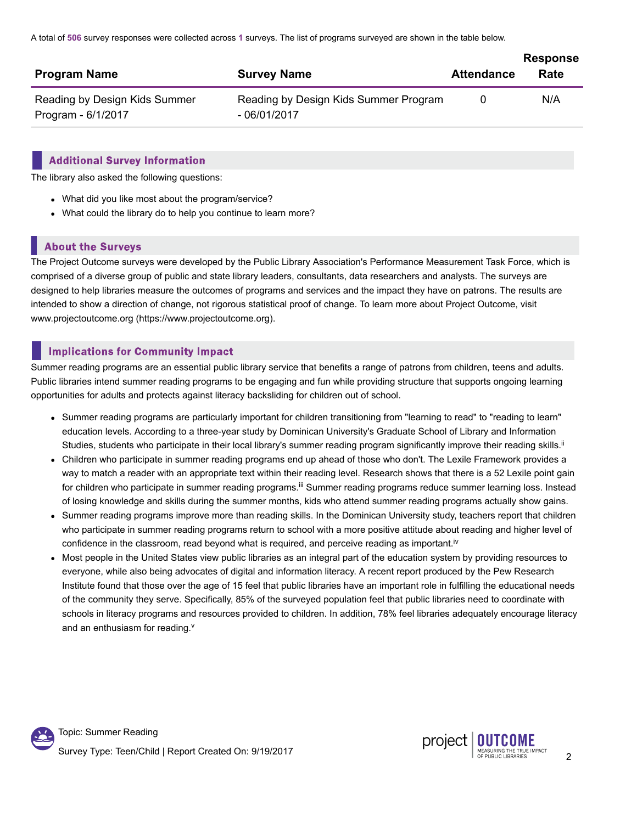A total of **506** survey responses were collected across **1** surveys. The list of programs surveyed are shown in the table below.

|                                                     |                                                        |                   | <b>Response</b> |
|-----------------------------------------------------|--------------------------------------------------------|-------------------|-----------------|
| <b>Program Name</b>                                 | <b>Survey Name</b>                                     | <b>Attendance</b> | Rate            |
| Reading by Design Kids Summer<br>Program - 6/1/2017 | Reading by Design Kids Summer Program<br>$-06/01/2017$ | 0                 | N/A             |

#### **Additional Survey Information**

The library also asked the following questions:

- What did you like most about the program/service?
- What could the library do to help you continue to learn more?

## **About the Surveys**

The Project Outcome surveys were developed by the Public Library Association's Performance Measurement Task Force, which is comprised of a diverse group of public and state library leaders, consultants, data researchers and analysts. The surveys are designed to help libraries measure the outcomes of programs and services and the impact they have on patrons. The results are intended to show a direction of change, not rigorous statistical proof of change. To learn more about Project Outcome, visit www.projectoutcome.org (https://www.projectoutcome.org).

## **Implications for Community Impact**

Summer reading programs are an essential public library service that benefits a range of patrons from children, teens and adults. Public libraries intend summer reading programs to be engaging and fun while providing structure that supports ongoing learning opportunities for adults and protects against literacy backsliding for children out of school.

- Summer reading programs are particularly important for children transitioning from "learning to read" to "reading to learn" education levels. According to a three-year study by Dominican University's Graduate School of Library and Information Studies, students who participate in their local library's summer reading program significantly improve their reading skills.<sup>ii</sup>
- Children who participate in summer reading programs end up ahead of those who don't. The Lexile Framework provides a way to match a reader with an appropriate text within their reading level. Research shows that there is a 52 Lexile point gain for children who participate in summer reading programs.<sup>iii</sup> Summer reading programs reduce summer learning loss. Instead of losing knowledge and skills during the summer months, kids who attend summer reading programs actually show gains.
- Summer reading programs improve more than reading skills. In the Dominican University study, teachers report that children who participate in summer reading programs return to school with a more positive attitude about reading and higher level of confidence in the classroom, read beyond what is required, and perceive reading as important.<sup>iv</sup>
- Most people in the United States view public libraries as an integral part of the education system by providing resources to everyone, while also being advocates of digital and information literacy. A recent report produced by the Pew Research Institute found that those over the age of 15 feel that public libraries have an important role in fulfilling the educational needs of the community they serve. Specifically, 85% of the surveyed population feel that public libraries need to coordinate with schools in literacy programs and resources provided to children. In addition, 78% feel libraries adequately encourage literacy and an enthusiasm for reading.<sup>v</sup>

Topic: Summer Reading Survey Type: Teen/Child <sup>|</sup> Report Created On: 9/19/2017 <sup>2</sup>